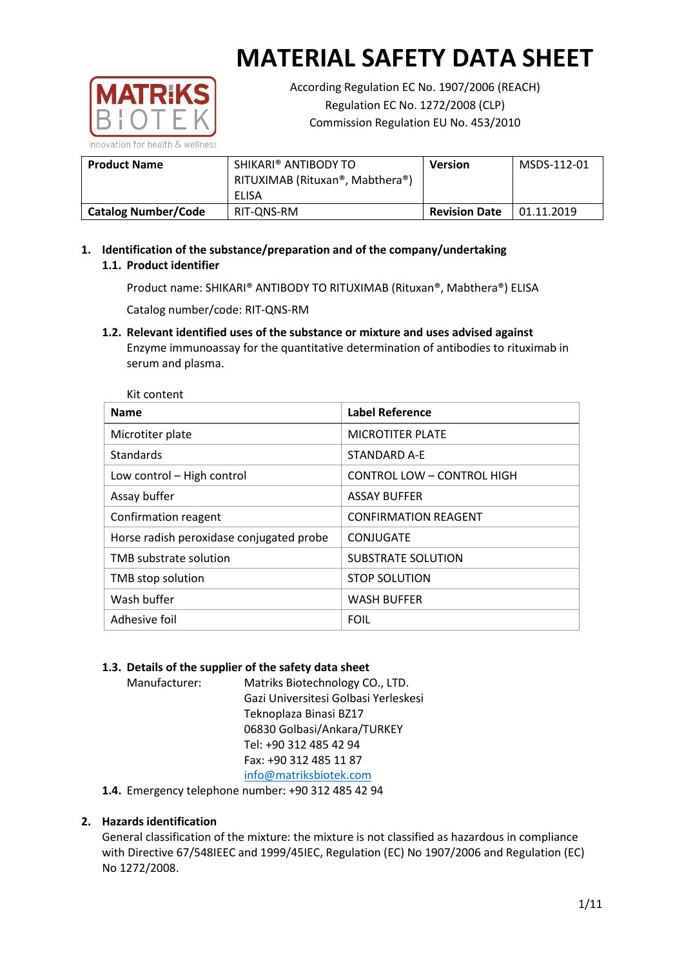

According Regulation EC No. 1907/2006 (REACH) Regulation EC No. 1272/2008 (CLP) Commission Regulation EU No. 453/2010

| <b>Product Name</b>        | SHIKARI® ANTIBODY TO<br>RITUXIMAB (Rituxan®, Mabthera®)<br>ELISA | <b>Version</b>       | MSDS-112-01 |
|----------------------------|------------------------------------------------------------------|----------------------|-------------|
| <b>Catalog Number/Code</b> | RIT-ONS-RM                                                       | <b>Revision Date</b> | 01.11.2019  |

**1. Identification of the substance/preparation and of the company/undertaking 1.1. Product identifier**

Product name: SHIKARI® ANTIBODY TO RITUXIMAB (Rituxan®, Mabthera®) ELISA

Catalog number/code: RIT-QNS-RM

**1.2. Relevant identified uses of the substance or mixture and uses advised against** Enzyme immunoassay for the quantitative determination of antibodies to rituximab in serum and plasma.

| <b>Name</b>                              | <b>Label Reference</b>            |
|------------------------------------------|-----------------------------------|
| Microtiter plate                         | <b>MICROTITER PLATE</b>           |
| <b>Standards</b>                         | STANDARD A-E                      |
| Low control - High control               | <b>CONTROL LOW - CONTROL HIGH</b> |
| Assay buffer                             | <b>ASSAY BUFFER</b>               |
| Confirmation reagent                     | <b>CONFIRMATION REAGENT</b>       |
| Horse radish peroxidase conjugated probe | CONJUGATE                         |
| TMB substrate solution                   | <b>SUBSTRATE SOLUTION</b>         |
| TMB stop solution                        | <b>STOP SOLUTION</b>              |
| Wash buffer                              | <b>WASH BUFFER</b>                |
| Adhesive foil                            | <b>FOIL</b>                       |

# **1.3. Details of the supplier of the safety data sheet**

Manufacturer: Matriks Biotechnology CO., LTD. Gazi Universitesi Golbasi Yerleskesi Teknoplaza Binasi BZ17 06830 Golbasi/Ankara/TURKEY Tel: +90 312 485 42 94 Fax: +90 312 485 11 87 [info@matriksbiotek.com](mailto:info@matriksbiotek.com)

**1.4.** Emergency telephone number: +90 312 485 42 94

# **2. Hazards identification**

General classification of the mixture: the mixture is not classified as hazardous in compliance with Directive 67/548IEEC and 1999/45IEC, Regulation (EC) No 1907/2006 and Regulation (EC) No 1272/2008.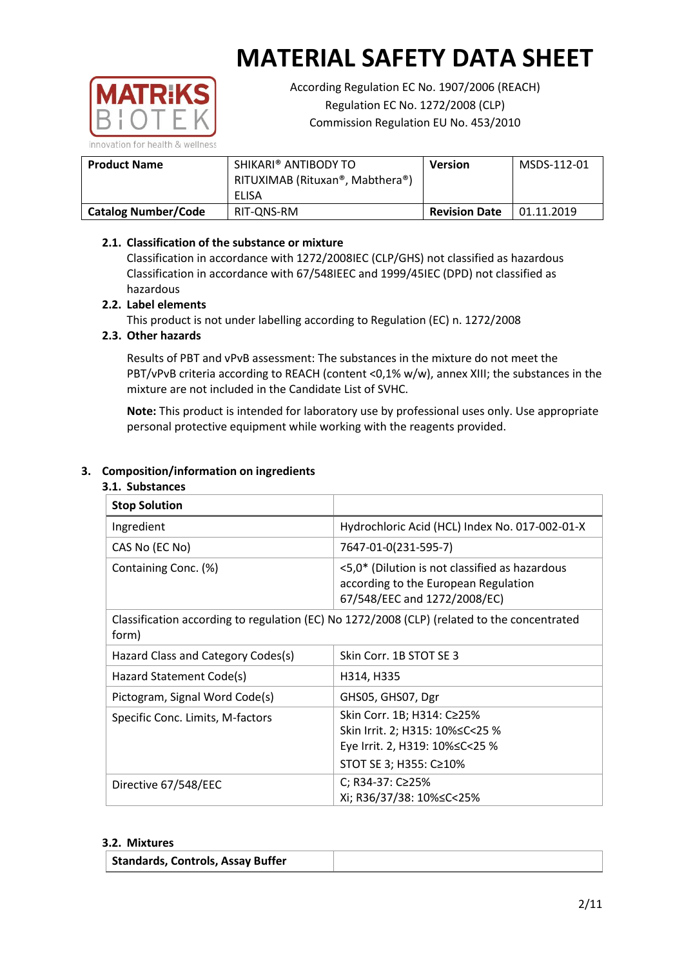

According Regulation EC No. 1907/2006 (REACH) Regulation EC No. 1272/2008 (CLP) Commission Regulation EU No. 453/2010

| <b>Product Name</b>        | SHIKARI® ANTIBODY TO<br>RITUXIMAB (Rituxan®, Mabthera®)<br>ELISA | <b>Version</b>       | MSDS-112-01 |
|----------------------------|------------------------------------------------------------------|----------------------|-------------|
| <b>Catalog Number/Code</b> | RIT-ONS-RM                                                       | <b>Revision Date</b> | 01.11.2019  |

# **2.1. Classification of the substance or mixture**

Classification in accordance with 1272/2008IEC (CLP/GHS) not classified as hazardous Classification in accordance with 67/548IEEC and 1999/45IEC (DPD) not classified as hazardous

## **2.2. Label elements**

This product is not under labelling according to Regulation (EC) n. 1272/2008

## **2.3. Other hazards**

Results of PBT and vPvB assessment: The substances in the mixture do not meet the PBT/vPvB criteria according to REACH (content <0,1% w/w), annex XIII; the substances in the mixture are not included in the Candidate List of SVHC.

**Note:** This product is intended for laboratory use by professional uses only. Use appropriate personal protective equipment while working with the reagents provided.

## **3. Composition/information on ingredients**

#### **3.1. Substances**

| <b>Stop Solution</b>                                                                                 |                                                                                                                               |
|------------------------------------------------------------------------------------------------------|-------------------------------------------------------------------------------------------------------------------------------|
| Ingredient                                                                                           | Hydrochloric Acid (HCL) Index No. 017-002-01-X                                                                                |
| CAS No (EC No)                                                                                       | 7647-01-0(231-595-7)                                                                                                          |
| Containing Conc. (%)                                                                                 | <5,0* (Dilution is not classified as hazardous<br>according to the European Regulation<br>67/548/EEC and 1272/2008/EC)        |
| Classification according to regulation (EC) No 1272/2008 (CLP) (related to the concentrated<br>form) |                                                                                                                               |
| Hazard Class and Category Codes(s)                                                                   | Skin Corr. 1B STOT SE 3                                                                                                       |
| Hazard Statement Code(s)                                                                             | H314, H335                                                                                                                    |
| Pictogram, Signal Word Code(s)                                                                       | GHS05, GHS07, Dgr                                                                                                             |
| Specific Conc. Limits, M-factors                                                                     | Skin Corr. 1B; H314: C≥25%<br>Skin Irrit. 2; H315: 10% ≤ C < 25 %<br>Eye Irrit. 2, H319: 10%≤C<25 %<br>STOT SE 3; H355: C≥10% |
| Directive 67/548/EEC                                                                                 | C; R34-37: C≥25%<br>Xi; R36/37/38: 10%≤C<25%                                                                                  |

#### **3.2. Mixtures**

|  | Standards, Controls, Assay Buffer |  |
|--|-----------------------------------|--|
|--|-----------------------------------|--|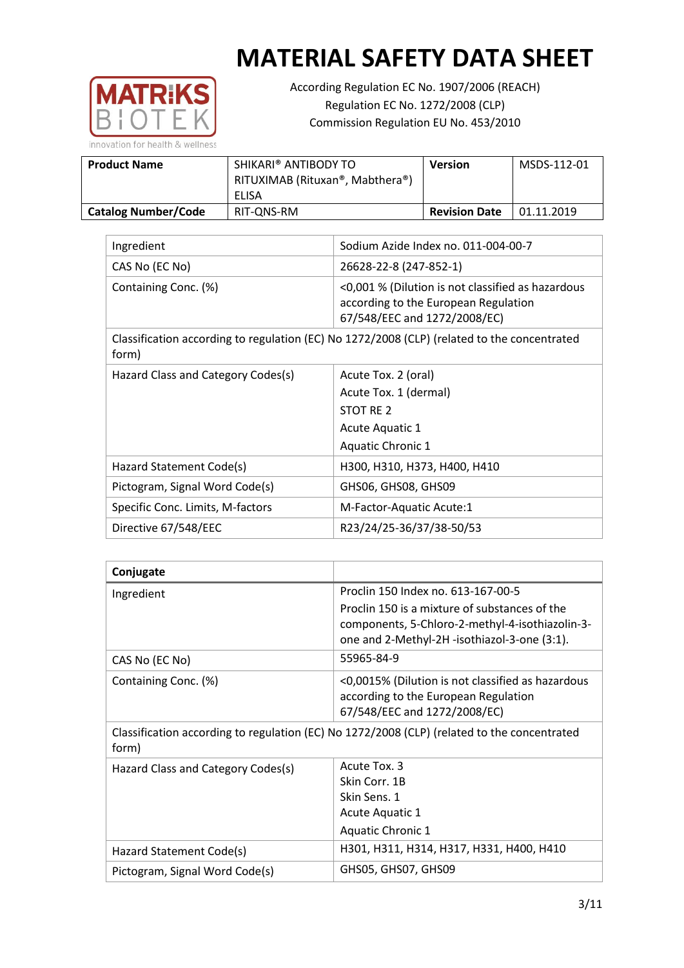

According Regulation EC No. 1907/2006 (REACH) Regulation EC No. 1272/2008 (CLP) Commission Regulation EU No. 453/2010

| <b>Product Name</b>        | SHIKARI® ANTIBODY TO<br>RITUXIMAB (Rituxan®, Mabthera®)<br>ELISA | <b>Version</b>       | MSDS-112-01 |
|----------------------------|------------------------------------------------------------------|----------------------|-------------|
| <b>Catalog Number/Code</b> | RIT-ONS-RM                                                       | <b>Revision Date</b> | 01.11.2019  |

| Ingredient                         | Sodium Azide Index no. 011-004-00-7                                                                                       |
|------------------------------------|---------------------------------------------------------------------------------------------------------------------------|
| CAS No (EC No)                     | 26628-22-8 (247-852-1)                                                                                                    |
| Containing Conc. (%)               | <0,001 % (Dilution is not classified as hazardous<br>according to the European Regulation<br>67/548/EEC and 1272/2008/EC) |
| form)                              | Classification according to regulation (EC) No 1272/2008 (CLP) (related to the concentrated                               |
| Hazard Class and Category Codes(s) | Acute Tox. 2 (oral)                                                                                                       |
|                                    | Acute Tox. 1 (dermal)                                                                                                     |
|                                    | STOT RE 2                                                                                                                 |
|                                    | Acute Aquatic 1                                                                                                           |
|                                    | <b>Aquatic Chronic 1</b>                                                                                                  |
| Hazard Statement Code(s)           | H300, H310, H373, H400, H410                                                                                              |
| Pictogram, Signal Word Code(s)     | GHS06, GHS08, GHS09                                                                                                       |
| Specific Conc. Limits, M-factors   | M-Factor-Aquatic Acute:1                                                                                                  |
| Directive 67/548/EEC               | R23/24/25-36/37/38-50/53                                                                                                  |

| Conjugate                          |                                                                                                                           |
|------------------------------------|---------------------------------------------------------------------------------------------------------------------------|
| Ingredient                         | Proclin 150 Index no. 613-167-00-5                                                                                        |
|                                    | Proclin 150 is a mixture of substances of the                                                                             |
|                                    | components, 5-Chloro-2-methyl-4-isothiazolin-3-<br>one and 2-Methyl-2H -isothiazol-3-one (3:1).                           |
| CAS No (EC No)                     | 55965-84-9                                                                                                                |
| Containing Conc. (%)               | <0,0015% (Dilution is not classified as hazardous<br>according to the European Regulation<br>67/548/EEC and 1272/2008/EC) |
| form)                              | Classification according to regulation (EC) No 1272/2008 (CLP) (related to the concentrated                               |
| Hazard Class and Category Codes(s) | Acute Tox. 3                                                                                                              |
|                                    | Skin Corr. 1B                                                                                                             |
|                                    | Skin Sens. 1                                                                                                              |
|                                    | Acute Aquatic 1                                                                                                           |
|                                    | <b>Aquatic Chronic 1</b>                                                                                                  |
| Hazard Statement Code(s)           | H301, H311, H314, H317, H331, H400, H410                                                                                  |
| Pictogram, Signal Word Code(s)     | GHS05, GHS07, GHS09                                                                                                       |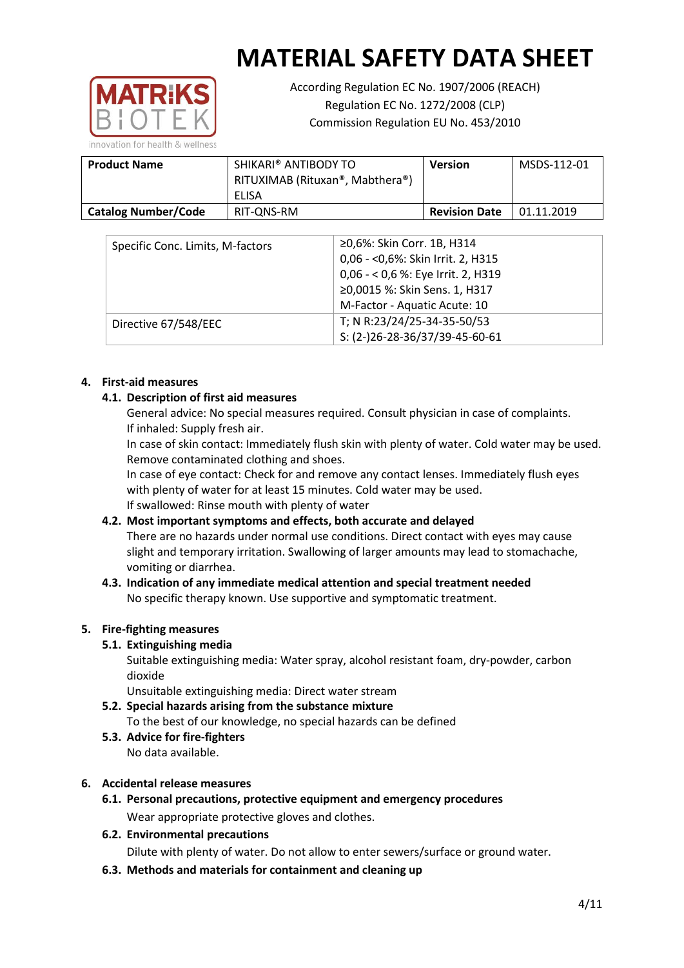

According Regulation EC No. 1907/2006 (REACH) Regulation EC No. 1272/2008 (CLP) Commission Regulation EU No. 453/2010

| <b>Product Name</b>        | SHIKARI® ANTIBODY TO<br>RITUXIMAB (Rituxan®, Mabthera®)<br>ELISA | <b>Version</b>       | MSDS-112-01 |
|----------------------------|------------------------------------------------------------------|----------------------|-------------|
| <b>Catalog Number/Code</b> | RIT-ONS-RM                                                       | <b>Revision Date</b> | 01.11.2019  |

| Specific Conc. Limits, M-factors | ≥0,6%: Skin Corr. 1B, H314<br>0,06 - < 0,6%: Skin Irrit. 2, H315<br>0,06 - < 0,6 %: Eye Irrit. 2, H319<br>≥0,0015 %: Skin Sens. 1, H317 |
|----------------------------------|-----------------------------------------------------------------------------------------------------------------------------------------|
|                                  | M-Factor - Aquatic Acute: 10                                                                                                            |
| Directive 67/548/EEC             | T; N R:23/24/25-34-35-50/53                                                                                                             |
|                                  | S: (2-)26-28-36/37/39-45-60-61                                                                                                          |

## **4. First-aid measures**

# **4.1. Description of first aid measures**

General advice: No special measures required. Consult physician in case of complaints. If inhaled: Supply fresh air.

In case of skin contact: Immediately flush skin with plenty of water. Cold water may be used. Remove contaminated clothing and shoes.

In case of eye contact: Check for and remove any contact lenses. Immediately flush eyes with plenty of water for at least 15 minutes. Cold water may be used. If swallowed: Rinse mouth with plenty of water

# **4.2. Most important symptoms and effects, both accurate and delayed**

There are no hazards under normal use conditions. Direct contact with eyes may cause slight and temporary irritation. Swallowing of larger amounts may lead to stomachache, vomiting or diarrhea.

# **4.3. Indication of any immediate medical attention and special treatment needed** No specific therapy known. Use supportive and symptomatic treatment.

# **5. Fire-fighting measures**

# **5.1. Extinguishing media**

Suitable extinguishing media: Water spray, alcohol resistant foam, dry-powder, carbon dioxide

Unsuitable extinguishing media: Direct water stream

- **5.2. Special hazards arising from the substance mixture** To the best of our knowledge, no special hazards can be defined
- **5.3. Advice for fire-fighters** No data available.

# **6. Accidental release measures**

**6.1. Personal precautions, protective equipment and emergency procedures** Wear appropriate protective gloves and clothes.

# **6.2. Environmental precautions**

Dilute with plenty of water. Do not allow to enter sewers/surface or ground water.

**6.3. Methods and materials for containment and cleaning up**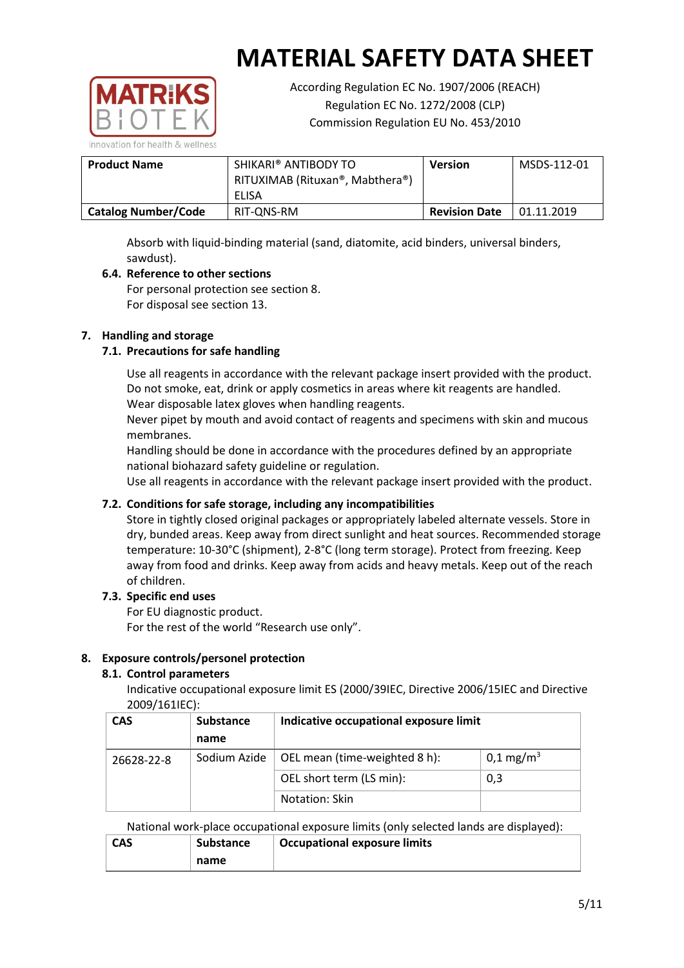

According Regulation EC No. 1907/2006 (REACH) Regulation EC No. 1272/2008 (CLP) Commission Regulation EU No. 453/2010

| <b>Product Name</b>        | SHIKARI® ANTIBODY TO<br>RITUXIMAB (Rituxan®, Mabthera®)<br>ELISA | <b>Version</b>       | MSDS-112-01 |
|----------------------------|------------------------------------------------------------------|----------------------|-------------|
| <b>Catalog Number/Code</b> | RIT-ONS-RM                                                       | <b>Revision Date</b> | 01.11.2019  |

Absorb with liquid-binding material (sand, diatomite, acid binders, universal binders, sawdust).

# **6.4. Reference to other sections**

For personal protection see section 8. For disposal see section 13.

# **7. Handling and storage**

# **7.1. Precautions for safe handling**

Use all reagents in accordance with the relevant package insert provided with the product. Do not smoke, eat, drink or apply cosmetics in areas where kit reagents are handled. Wear disposable latex gloves when handling reagents.

Never pipet by mouth and avoid contact of reagents and specimens with skin and mucous membranes.

Handling should be done in accordance with the procedures defined by an appropriate national biohazard safety guideline or regulation.

Use all reagents in accordance with the relevant package insert provided with the product.

# **7.2. Conditions for safe storage, including any incompatibilities**

Store in tightly closed original packages or appropriately labeled alternate vessels. Store in dry, bunded areas. Keep away from direct sunlight and heat sources. Recommended storage temperature: 10-30°C (shipment), 2-8°C (long term storage). Protect from freezing. Keep away from food and drinks. Keep away from acids and heavy metals. Keep out of the reach of children.

### **7.3. Specific end uses**

For EU diagnostic product.

For the rest of the world "Research use only".

# **8. Exposure controls/personel protection**

### **8.1. Control parameters**

Indicative occupational exposure limit ES (2000/39IEC, Directive 2006/15IEC and Directive 2009/161IEC):

| <b>CAS</b> | <b>Substance</b> | Indicative occupational exposure limit |                         |
|------------|------------------|----------------------------------------|-------------------------|
|            | name             |                                        |                         |
| 26628-22-8 | Sodium Azide     | OEL mean (time-weighted 8 h):          | $0,1 \,\mathrm{mg/m^3}$ |
|            |                  | OEL short term (LS min):               | 0,3                     |
|            |                  | Notation: Skin                         |                         |

National work-place occupational exposure limits (only selected lands are displayed):

| <b>CAS</b> | <b>Substance</b> | <b>Occupational exposure limits</b> |  |  |
|------------|------------------|-------------------------------------|--|--|
|            | name             |                                     |  |  |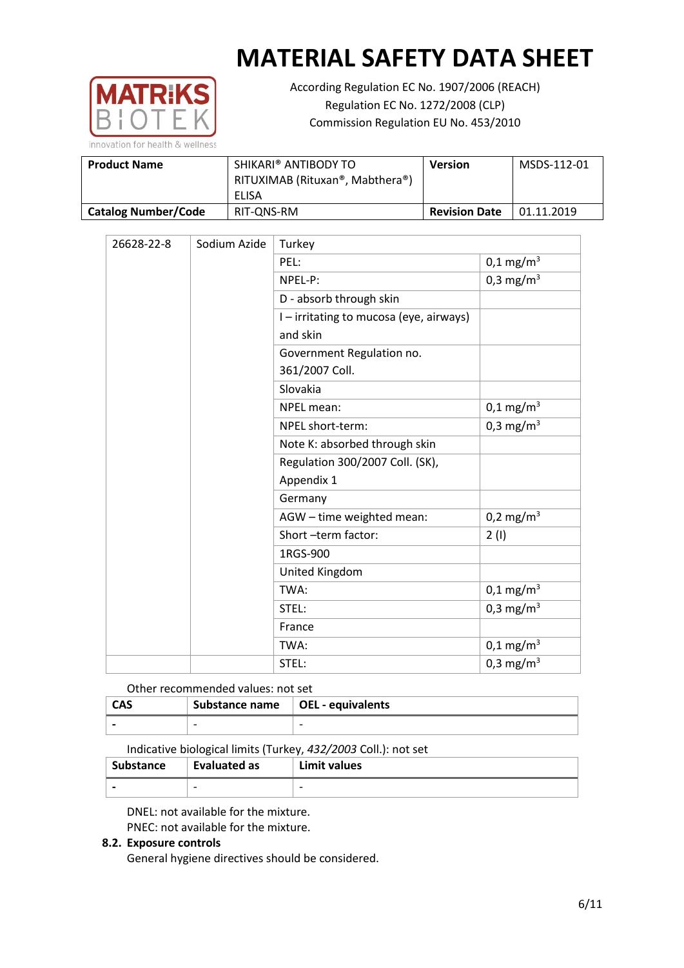

According Regulation EC No. 1907/2006 (REACH) Regulation EC No. 1272/2008 (CLP) Commission Regulation EU No. 453/2010

| <b>Product Name</b>        | SHIKARI® ANTIBODY TO<br>RITUXIMAB (Rituxan®, Mabthera®) |                      | MSDS-112-01 |
|----------------------------|---------------------------------------------------------|----------------------|-------------|
|                            | ELISA                                                   |                      |             |
| <b>Catalog Number/Code</b> | RIT-ONS-RM                                              | <b>Revision Date</b> | 01.11.2019  |

| Sodium Azide<br>26628-22-8 |                               | Turkey                                  |                         |
|----------------------------|-------------------------------|-----------------------------------------|-------------------------|
|                            |                               | PEL:                                    | $0,1 \,\mathrm{mg/m^3}$ |
|                            |                               | NPEL-P:                                 | 0,3 mg/m <sup>3</sup>   |
|                            |                               | D - absorb through skin                 |                         |
|                            |                               | I - irritating to mucosa (eye, airways) |                         |
|                            |                               | and skin                                |                         |
|                            |                               | Government Regulation no.               |                         |
|                            |                               | 361/2007 Coll.                          |                         |
|                            |                               | Slovakia                                |                         |
|                            |                               | NPEL mean:                              | $0,1 \text{ mg/m}^3$    |
|                            |                               | NPEL short-term:                        | 0,3 mg/m <sup>3</sup>   |
|                            | Note K: absorbed through skin |                                         |                         |
|                            |                               | Regulation 300/2007 Coll. (SK),         |                         |
|                            |                               | Appendix 1                              |                         |
|                            |                               | Germany                                 |                         |
|                            |                               | AGW - time weighted mean:               | $0,2 \text{ mg/m}^3$    |
|                            |                               | Short -term factor:                     | 2(1)                    |
|                            |                               | 1RGS-900                                |                         |
|                            |                               | United Kingdom                          |                         |
|                            |                               | TWA:                                    | $0,1 \,\mathrm{mg/m^3}$ |
|                            |                               | STEL:                                   | 0,3 mg/m <sup>3</sup>   |
|                            |                               | France                                  |                         |
|                            |                               | TWA:                                    | $0,1 \,\mathrm{mg/m^3}$ |
|                            |                               | STEL:                                   | 0,3 mg/m <sup>3</sup>   |

### Other recommended values: not set

| <b>CAS</b> | Substance name $\vert$ OEL - equivalents |                          |
|------------|------------------------------------------|--------------------------|
|            | $\overline{\phantom{0}}$                 | $\overline{\phantom{0}}$ |

Indicative biological limits (Turkey, *432/2003* Coll.): not set

| Substance                | Evaluated as             | Limit values |
|--------------------------|--------------------------|--------------|
| $\overline{\phantom{0}}$ | $\overline{\phantom{0}}$ | -            |

DNEL: not available for the mixture. PNEC: not available for the mixture.

### **8.2. Exposure controls**

General hygiene directives should be considered.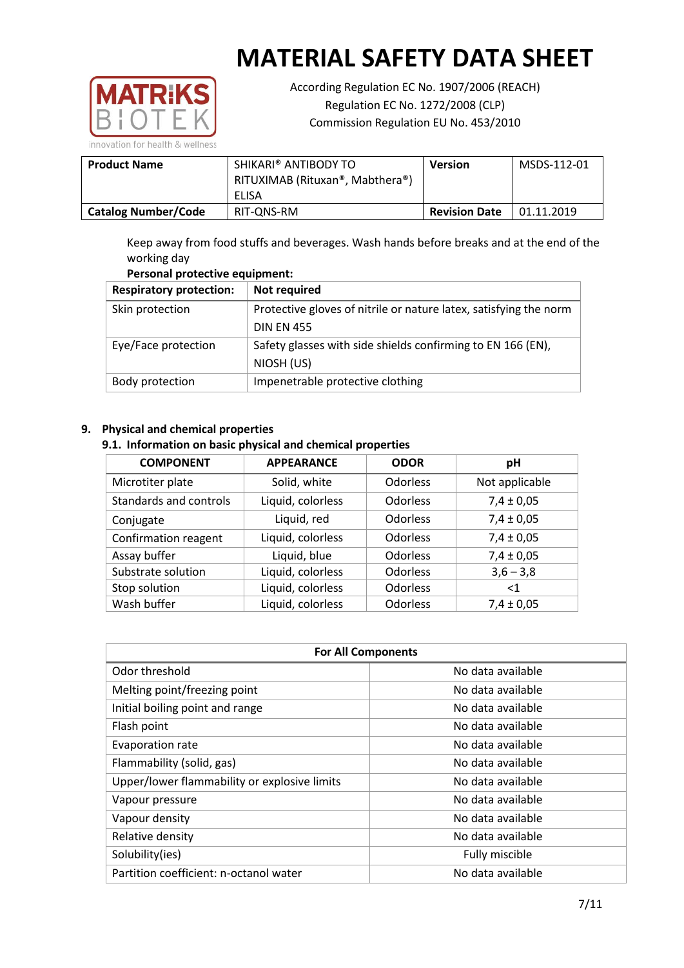

According Regulation EC No. 1907/2006 (REACH) Regulation EC No. 1272/2008 (CLP) Commission Regulation EU No. 453/2010

**Product Name** | SHIKARI® ANTIBODY TO RITUXIMAB (Rituxan®, Mabthera®) ELISA **Version** MSDS-112-01 **Catalog Number/Code** RIT-QNS-RM Revision Date 01.11.2019

Keep away from food stuffs and beverages. Wash hands before breaks and at the end of the working day

# **Personal protective equipment:**

| <b>Respiratory protection:</b> | Not required                                                      |  |  |
|--------------------------------|-------------------------------------------------------------------|--|--|
| Skin protection                | Protective gloves of nitrile or nature latex, satisfying the norm |  |  |
|                                | <b>DIN EN 455</b>                                                 |  |  |
| Eye/Face protection            | Safety glasses with side shields confirming to EN 166 (EN),       |  |  |
|                                | NIOSH (US)                                                        |  |  |
| Body protection                | Impenetrable protective clothing                                  |  |  |

# **9. Physical and chemical properties**

## **9.1. Information on basic physical and chemical properties**

| <b>COMPONENT</b>       | <b>APPEARANCE</b> | <b>ODOR</b>     | рH             |
|------------------------|-------------------|-----------------|----------------|
| Microtiter plate       | Solid, white      | <b>Odorless</b> | Not applicable |
| Standards and controls | Liquid, colorless | <b>Odorless</b> | $7,4 \pm 0,05$ |
| Conjugate              | Liquid, red       | <b>Odorless</b> | $7,4 \pm 0,05$ |
| Confirmation reagent   | Liquid, colorless | <b>Odorless</b> | $7,4 \pm 0,05$ |
| Assay buffer           | Liquid, blue      | <b>Odorless</b> | $7,4 \pm 0,05$ |
| Substrate solution     | Liquid, colorless | <b>Odorless</b> | $3,6 - 3,8$    |
| Stop solution          | Liquid, colorless | <b>Odorless</b> | $<$ 1          |
| Wash buffer            | Liquid, colorless | Odorless        | $7,4 \pm 0,05$ |

| <b>For All Components</b>                    |                   |  |  |
|----------------------------------------------|-------------------|--|--|
| Odor threshold                               | No data available |  |  |
| Melting point/freezing point                 | No data available |  |  |
| Initial boiling point and range              | No data available |  |  |
| Flash point                                  | No data available |  |  |
| Evaporation rate                             | No data available |  |  |
| Flammability (solid, gas)                    | No data available |  |  |
| Upper/lower flammability or explosive limits | No data available |  |  |
| Vapour pressure                              | No data available |  |  |
| Vapour density                               | No data available |  |  |
| Relative density                             | No data available |  |  |
| Solubility(ies)                              | Fully miscible    |  |  |
| Partition coefficient: n-octanol water       | No data available |  |  |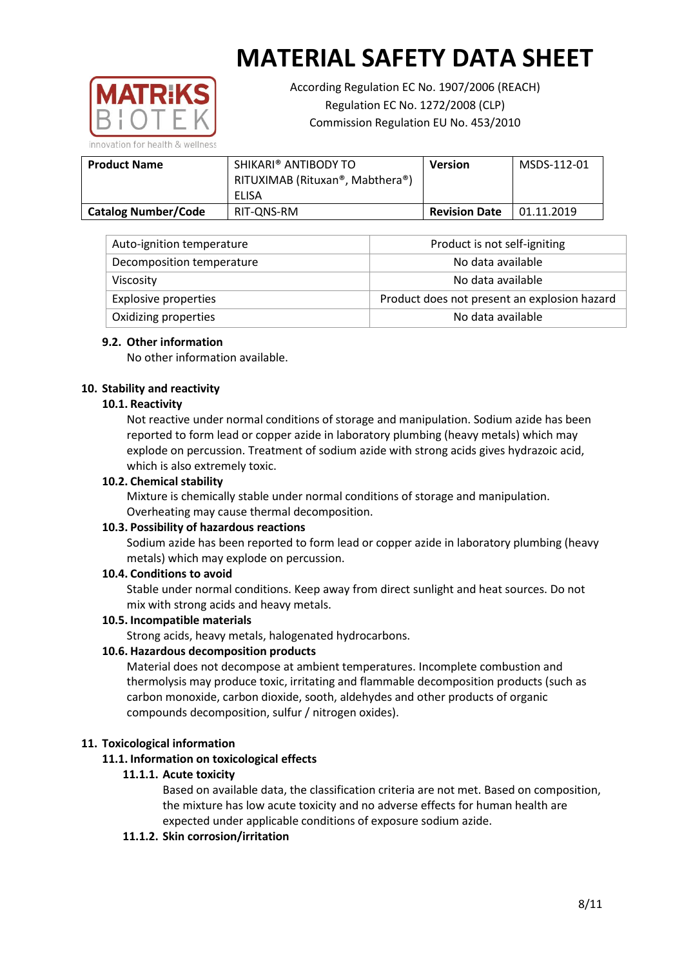

According Regulation EC No. 1907/2006 (REACH) Regulation EC No. 1272/2008 (CLP) Commission Regulation EU No. 453/2010

**Product Name SHIKARI® ANTIBODY TO** RITUXIMAB (Rituxan®, Mabthera®) ELISA **Version** MSDS-112-01 **Catalog Number/Code** RIT-QNS-RM Revision Date 01.11.2019

| Auto-ignition temperature   | Product is not self-igniting                 |
|-----------------------------|----------------------------------------------|
| Decomposition temperature   | No data available                            |
| <b>Viscosity</b>            | No data available                            |
| <b>Explosive properties</b> | Product does not present an explosion hazard |
| Oxidizing properties        | No data available                            |

## **9.2. Other information**

No other information available.

## **10. Stability and reactivity**

## **10.1. Reactivity**

Not reactive under normal conditions of storage and manipulation. Sodium azide has been reported to form lead or copper azide in laboratory plumbing (heavy metals) which may explode on percussion. Treatment of sodium azide with strong acids gives hydrazoic acid, which is also extremely toxic.

### **10.2. Chemical stability**

Mixture is chemically stable under normal conditions of storage and manipulation. Overheating may cause thermal decomposition.

### **10.3. Possibility of hazardous reactions**

Sodium azide has been reported to form lead or copper azide in laboratory plumbing (heavy metals) which may explode on percussion.

### **10.4. Conditions to avoid**

Stable under normal conditions. Keep away from direct sunlight and heat sources. Do not mix with strong acids and heavy metals.

### **10.5. Incompatible materials**

Strong acids, heavy metals, halogenated hydrocarbons.

# **10.6. Hazardous decomposition products**

Material does not decompose at ambient temperatures. Incomplete combustion and thermolysis may produce toxic, irritating and flammable decomposition products (such as carbon monoxide, carbon dioxide, sooth, aldehydes and other products of organic compounds decomposition, sulfur / nitrogen oxides).

### **11. Toxicological information**

### **11.1. Information on toxicological effects**

### **11.1.1. Acute toxicity**

Based on available data, the classification criteria are not met. Based on composition, the mixture has low acute toxicity and no adverse effects for human health are expected under applicable conditions of exposure sodium azide.

### **11.1.2. Skin corrosion/irritation**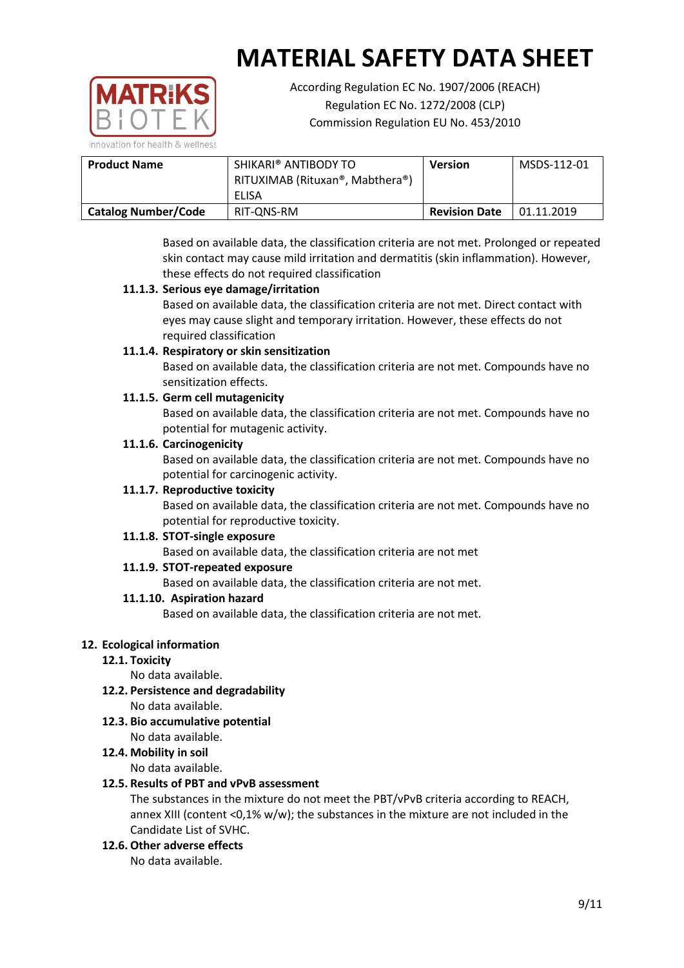

According Regulation EC No. 1907/2006 (REACH) Regulation EC No. 1272/2008 (CLP) Commission Regulation EU No. 453/2010

| <b>Product Name</b>        | SHIKARI® ANTIBODY TO<br>RITUXIMAB (Rituxan®, Mabthera®)<br>ELISA | <b>Version</b>       | MSDS-112-01 |
|----------------------------|------------------------------------------------------------------|----------------------|-------------|
| <b>Catalog Number/Code</b> | RIT-ONS-RM                                                       | <b>Revision Date</b> | 01.11.2019  |

Based on available data, the classification criteria are not met. Prolonged or repeated skin contact may cause mild irritation and dermatitis (skin inflammation). However, these effects do not required classification

# **11.1.3. Serious eye damage/irritation**

Based on available data, the classification criteria are not met. Direct contact with eyes may cause slight and temporary irritation. However, these effects do not required classification

# **11.1.4. Respiratory or skin sensitization**

Based on available data, the classification criteria are not met. Compounds have no sensitization effects.

# **11.1.5. Germ cell mutagenicity**

Based on available data, the classification criteria are not met. Compounds have no potential for mutagenic activity.

# **11.1.6. Carcinogenicity**

Based on available data, the classification criteria are not met. Compounds have no potential for carcinogenic activity.

# **11.1.7. Reproductive toxicity**

Based on available data, the classification criteria are not met. Compounds have no potential for reproductive toxicity.

# **11.1.8. STOT-single exposure**

Based on available data, the classification criteria are not met

# **11.1.9. STOT-repeated exposure**

Based on available data, the classification criteria are not met.

### **11.1.10. Aspiration hazard**

Based on available data, the classification criteria are not met.

# **12. Ecological information**

# **12.1. Toxicity**

No data available.

- **12.2. Persistence and degradability** No data available.
- **12.3. Bio accumulative potential** No data available.
- **12.4. Mobility in soil**

No data available.

### **12.5. Results of PBT and vPvB assessment**

The substances in the mixture do not meet the PBT/vPvB criteria according to REACH, annex XIII (content <0,1% w/w); the substances in the mixture are not included in the Candidate List of SVHC.

**12.6. Other adverse effects**

No data available.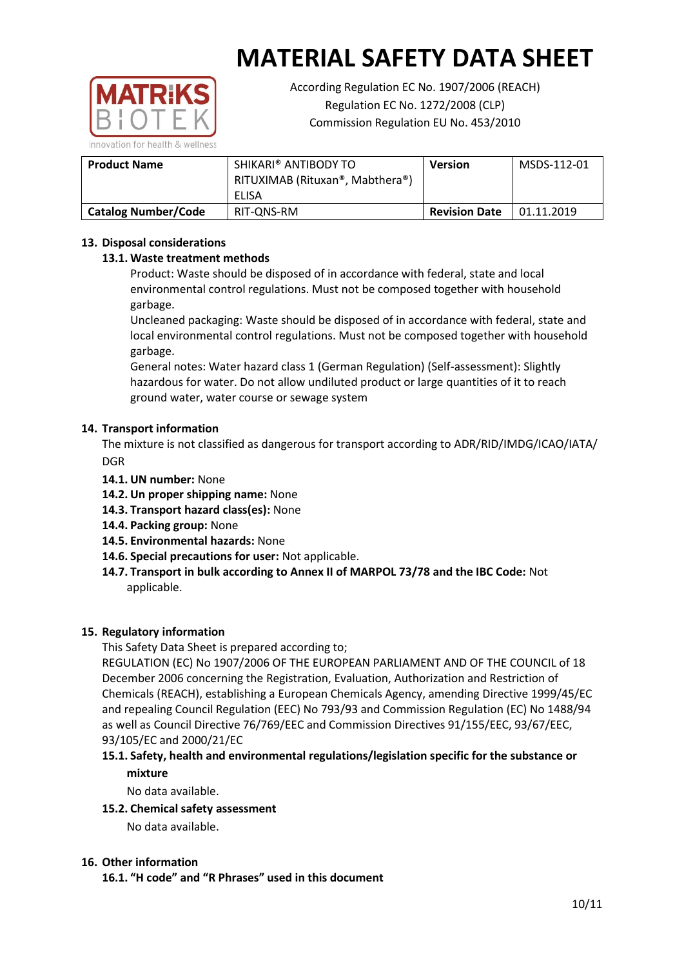

According Regulation EC No. 1907/2006 (REACH) Regulation EC No. 1272/2008 (CLP) Commission Regulation EU No. 453/2010

| <b>Product Name</b>        | SHIKARI® ANTIBODY TO<br>RITUXIMAB (Rituxan®, Mabthera®)<br>ELISA | <b>Version</b>       | MSDS-112-01 |
|----------------------------|------------------------------------------------------------------|----------------------|-------------|
| <b>Catalog Number/Code</b> | RIT-ONS-RM                                                       | <b>Revision Date</b> | 01.11.2019  |

# **13. Disposal considerations**

## **13.1. Waste treatment methods**

Product: Waste should be disposed of in accordance with federal, state and local environmental control regulations. Must not be composed together with household garbage.

Uncleaned packaging: Waste should be disposed of in accordance with federal, state and local environmental control regulations. Must not be composed together with household garbage.

General notes: Water hazard class 1 (German Regulation) (Self-assessment): Slightly hazardous for water. Do not allow undiluted product or large quantities of it to reach ground water, water course or sewage system

### **14. Transport information**

The mixture is not classified as dangerous for transport according to ADR/RID/IMDG/ICAO/IATA/ **DGR** 

- **14.1. UN number:** None
- **14.2. Un proper shipping name:** None
- **14.3. Transport hazard class(es):** None
- **14.4. Packing group:** None
- **14.5. Environmental hazards:** None
- **14.6. Special precautions for user:** Not applicable.
- **14.7. Transport in bulk according to Annex II of MARPOL 73/78 and the IBC Code:** Not applicable.

### **15. Regulatory information**

This Safety Data Sheet is prepared according to;

REGULATION (EC) No 1907/2006 OF THE EUROPEAN PARLIAMENT AND OF THE COUNCIL of 18 December 2006 concerning the Registration, Evaluation, Authorization and Restriction of Chemicals (REACH), establishing a European Chemicals Agency, amending Directive 1999/45/EC and repealing Council Regulation (EEC) No 793/93 and Commission Regulation (EC) No 1488/94 as well as Council Directive 76/769/EEC and Commission Directives 91/155/EEC, 93/67/EEC, 93/105/EC and 2000/21/EC

## **15.1. Safety, health and environmental regulations/legislation specific for the substance or mixture**

No data available.

### **15.2. Chemical safety assessment**

No data available.

### **16. Other information**

**16.1. "H code" and "R Phrases" used in this document**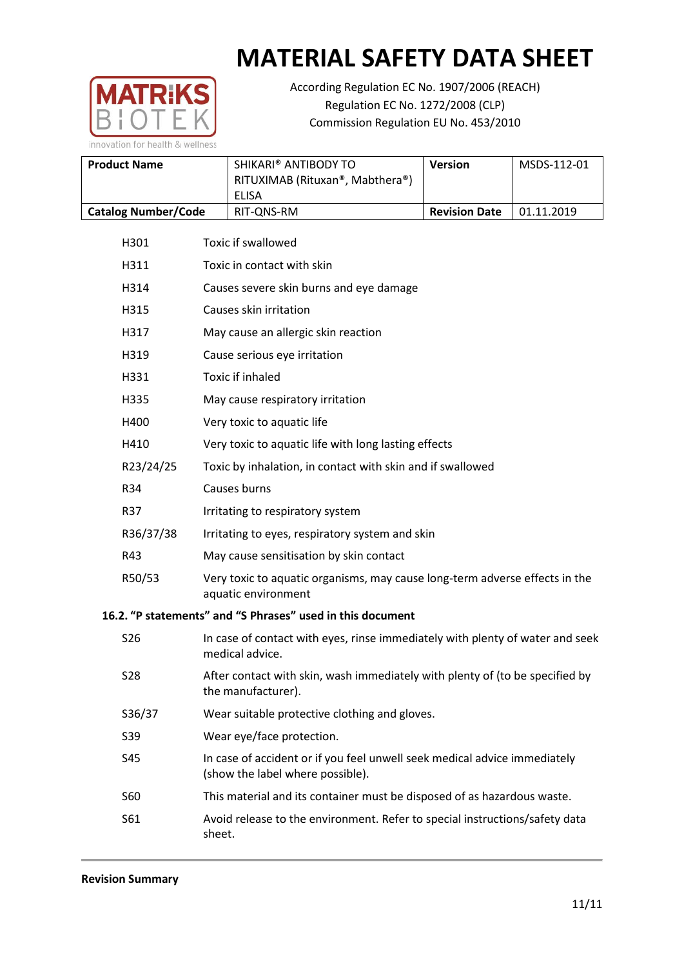

According Regulation EC No. 1907/2006 (REACH) Regulation EC No. 1272/2008 (CLP) Commission Regulation EU No. 453/2010

| <b>Product Name</b>        | SHIKARI® ANTIBODY TO<br>RITUXIMAB (Rituxan®, Mabthera®)<br>ELISA | <b>Version</b>       | MSDS-112-01 |
|----------------------------|------------------------------------------------------------------|----------------------|-------------|
| <b>Catalog Number/Code</b> | RIT-ONS-RM                                                       | <b>Revision Date</b> | 01.11.2019  |

|                                                            | H301       | <b>Toxic if swallowed</b>                                                                          |  |  |  |
|------------------------------------------------------------|------------|----------------------------------------------------------------------------------------------------|--|--|--|
|                                                            | H311       | Toxic in contact with skin                                                                         |  |  |  |
|                                                            | H314       | Causes severe skin burns and eye damage                                                            |  |  |  |
|                                                            | H315       | Causes skin irritation                                                                             |  |  |  |
|                                                            | H317       | May cause an allergic skin reaction                                                                |  |  |  |
|                                                            | H319       | Cause serious eye irritation                                                                       |  |  |  |
|                                                            | H331       | <b>Toxic if inhaled</b>                                                                            |  |  |  |
|                                                            | H335       | May cause respiratory irritation                                                                   |  |  |  |
|                                                            | H400       | Very toxic to aquatic life                                                                         |  |  |  |
|                                                            | H410       | Very toxic to aquatic life with long lasting effects                                               |  |  |  |
|                                                            | R23/24/25  | Toxic by inhalation, in contact with skin and if swallowed                                         |  |  |  |
|                                                            | R34        | Causes burns                                                                                       |  |  |  |
|                                                            | <b>R37</b> | Irritating to respiratory system                                                                   |  |  |  |
|                                                            | R36/37/38  | Irritating to eyes, respiratory system and skin                                                    |  |  |  |
|                                                            | R43        | May cause sensitisation by skin contact                                                            |  |  |  |
|                                                            | R50/53     | Very toxic to aquatic organisms, may cause long-term adverse effects in the<br>aquatic environment |  |  |  |
| 16.2. "P statements" and "S Phrases" used in this document |            |                                                                                                    |  |  |  |
|                                                            | <b>S26</b> | In case of contact with eyes, rinse immediately with plenty of water and seek                      |  |  |  |

| S <sub>26</sub> | In case of contact with eyes, rinse immediately with plenty of water and seek<br>medical advice.              |
|-----------------|---------------------------------------------------------------------------------------------------------------|
| S <sub>28</sub> | After contact with skin, wash immediately with plenty of (to be specified by<br>the manufacturer).            |
| S36/37          | Wear suitable protective clothing and gloves.                                                                 |
| S39             | Wear eye/face protection.                                                                                     |
| S45             | In case of accident or if you feel unwell seek medical advice immediately<br>(show the label where possible). |
| S60             | This material and its container must be disposed of as hazardous waste.                                       |
| S61             | Avoid release to the environment. Refer to special instructions/safety data<br>sheet.                         |